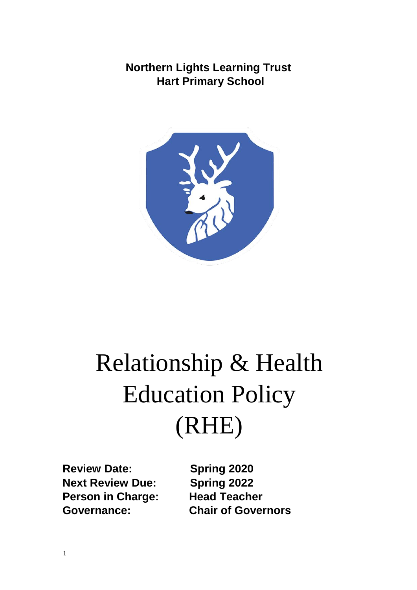**Northern Lights Learning Trust Hart Primary School**



# Relationship & Health Education Policy (RHE)

**Review Date: Spring 2020 Next Review Due: Spring 2022 Person in Charge: Head Teacher** 

**Governance: Chair of Governors**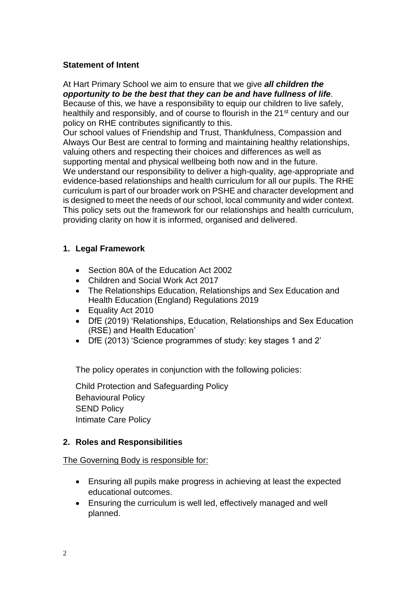#### **Statement of Intent**

At Hart Primary School we aim to ensure that we give *all children the opportunity to be the best that they can be and have fullness of life*. Because of this, we have a responsibility to equip our children to live safely, healthily and responsibly, and of course to flourish in the 21<sup>st</sup> century and our policy on RHE contributes significantly to this.

Our school values of Friendship and Trust, Thankfulness, Compassion and Always Our Best are central to forming and maintaining healthy relationships, valuing others and respecting their choices and differences as well as supporting mental and physical wellbeing both now and in the future.

We understand our responsibility to deliver a high-quality, age-appropriate and evidence-based relationships and health curriculum for all our pupils. The RHE curriculum is part of our broader work on PSHE and character development and is designed to meet the needs of our school, local community and wider context. This policy sets out the framework for our relationships and health curriculum, providing clarity on how it is informed, organised and delivered.

## **1. Legal Framework**

- Section 80A of the Education Act 2002
- Children and Social Work Act 2017
- The Relationships Education, Relationships and Sex Education and Health Education (England) Regulations 2019
- Equality Act 2010
- DfE (2019) 'Relationships, Education, Relationships and Sex Education (RSE) and Health Education'
- DfE (2013) 'Science programmes of study: key stages 1 and 2'

The policy operates in conjunction with the following policies:

Child Protection and Safeguarding Policy Behavioural Policy SEND Policy Intimate Care Policy

## **2. Roles and Responsibilities**

#### The Governing Body is responsible for:

- Ensuring all pupils make progress in achieving at least the expected educational outcomes.
- Ensuring the curriculum is well led, effectively managed and well planned.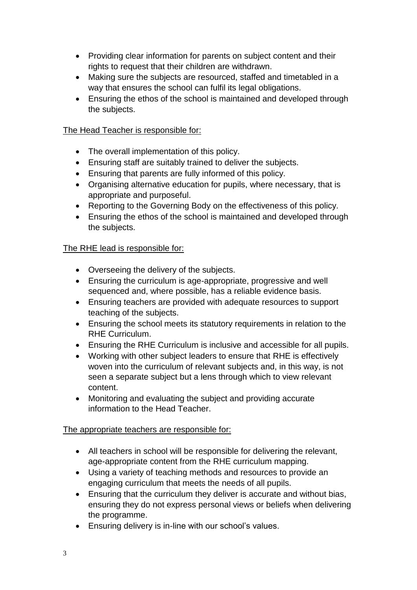- Providing clear information for parents on subject content and their rights to request that their children are withdrawn.
- Making sure the subjects are resourced, staffed and timetabled in a way that ensures the school can fulfil its legal obligations.
- Ensuring the ethos of the school is maintained and developed through the subjects.

# The Head Teacher is responsible for:

- The overall implementation of this policy.
- Ensuring staff are suitably trained to deliver the subjects.
- Ensuring that parents are fully informed of this policy.
- Organising alternative education for pupils, where necessary, that is appropriate and purposeful.
- Reporting to the Governing Body on the effectiveness of this policy.
- Ensuring the ethos of the school is maintained and developed through the subjects.

## The RHE lead is responsible for:

- Overseeing the delivery of the subjects.
- Ensuring the curriculum is age-appropriate, progressive and well sequenced and, where possible, has a reliable evidence basis.
- Ensuring teachers are provided with adequate resources to support teaching of the subjects.
- Ensuring the school meets its statutory requirements in relation to the RHE Curriculum.
- Ensuring the RHE Curriculum is inclusive and accessible for all pupils.
- Working with other subject leaders to ensure that RHE is effectively woven into the curriculum of relevant subjects and, in this way, is not seen a separate subject but a lens through which to view relevant content.
- Monitoring and evaluating the subject and providing accurate information to the Head Teacher.

## The appropriate teachers are responsible for:

- All teachers in school will be responsible for delivering the relevant, age-appropriate content from the RHE curriculum mapping.
- Using a variety of teaching methods and resources to provide an engaging curriculum that meets the needs of all pupils.
- Ensuring that the curriculum they deliver is accurate and without bias, ensuring they do not express personal views or beliefs when delivering the programme.
- Ensuring delivery is in-line with our school's values.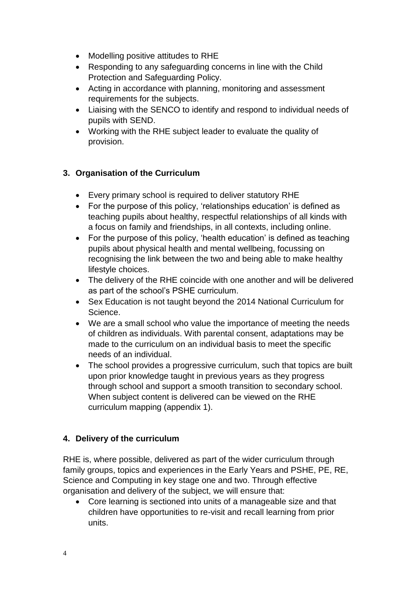- Modelling positive attitudes to RHE
- Responding to any safeguarding concerns in line with the Child Protection and Safeguarding Policy.
- Acting in accordance with planning, monitoring and assessment requirements for the subjects.
- Liaising with the SENCO to identify and respond to individual needs of pupils with SEND.
- Working with the RHE subject leader to evaluate the quality of provision.

# **3. Organisation of the Curriculum**

- Every primary school is required to deliver statutory RHE
- For the purpose of this policy, 'relationships education' is defined as teaching pupils about healthy, respectful relationships of all kinds with a focus on family and friendships, in all contexts, including online.
- For the purpose of this policy, 'health education' is defined as teaching pupils about physical health and mental wellbeing, focussing on recognising the link between the two and being able to make healthy lifestyle choices.
- The delivery of the RHE coincide with one another and will be delivered as part of the school's PSHE curriculum.
- Sex Education is not taught beyond the 2014 National Curriculum for Science.
- We are a small school who value the importance of meeting the needs of children as individuals. With parental consent, adaptations may be made to the curriculum on an individual basis to meet the specific needs of an individual.
- The school provides a progressive curriculum, such that topics are built upon prior knowledge taught in previous years as they progress through school and support a smooth transition to secondary school. When subject content is delivered can be viewed on the RHE curriculum mapping (appendix 1).

# **4. Delivery of the curriculum**

RHE is, where possible, delivered as part of the wider curriculum through family groups, topics and experiences in the Early Years and PSHE, PE, RE, Science and Computing in key stage one and two. Through effective organisation and delivery of the subject, we will ensure that:

 Core learning is sectioned into units of a manageable size and that children have opportunities to re-visit and recall learning from prior units.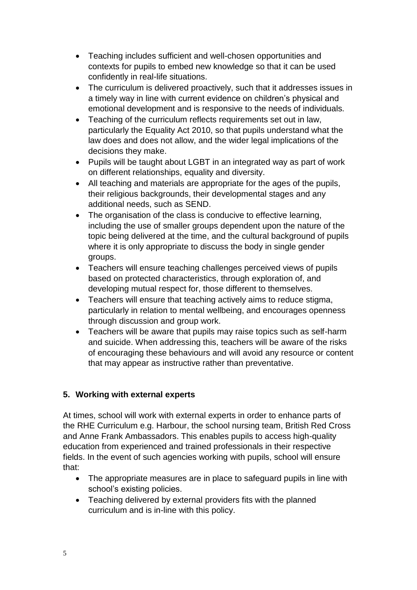- Teaching includes sufficient and well-chosen opportunities and contexts for pupils to embed new knowledge so that it can be used confidently in real-life situations.
- The curriculum is delivered proactively, such that it addresses issues in a timely way in line with current evidence on children's physical and emotional development and is responsive to the needs of individuals.
- Teaching of the curriculum reflects requirements set out in law, particularly the Equality Act 2010, so that pupils understand what the law does and does not allow, and the wider legal implications of the decisions they make.
- Pupils will be taught about LGBT in an integrated way as part of work on different relationships, equality and diversity.
- All teaching and materials are appropriate for the ages of the pupils, their religious backgrounds, their developmental stages and any additional needs, such as SEND.
- The organisation of the class is conducive to effective learning. including the use of smaller groups dependent upon the nature of the topic being delivered at the time, and the cultural background of pupils where it is only appropriate to discuss the body in single gender groups.
- Teachers will ensure teaching challenges perceived views of pupils based on protected characteristics, through exploration of, and developing mutual respect for, those different to themselves.
- Teachers will ensure that teaching actively aims to reduce stigma, particularly in relation to mental wellbeing, and encourages openness through discussion and group work.
- Teachers will be aware that pupils may raise topics such as self-harm and suicide. When addressing this, teachers will be aware of the risks of encouraging these behaviours and will avoid any resource or content that may appear as instructive rather than preventative.

# **5. Working with external experts**

At times, school will work with external experts in order to enhance parts of the RHE Curriculum e.g. Harbour, the school nursing team, British Red Cross and Anne Frank Ambassadors. This enables pupils to access high-quality education from experienced and trained professionals in their respective fields. In the event of such agencies working with pupils, school will ensure that:

- The appropriate measures are in place to safeguard pupils in line with school's existing policies.
- Teaching delivered by external providers fits with the planned curriculum and is in-line with this policy.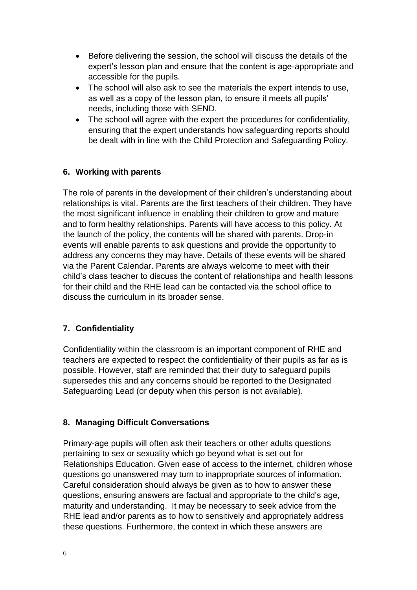- Before delivering the session, the school will discuss the details of the expert's lesson plan and ensure that the content is age-appropriate and accessible for the pupils.
- The school will also ask to see the materials the expert intends to use, as well as a copy of the lesson plan, to ensure it meets all pupils' needs, including those with SEND.
- The school will agree with the expert the procedures for confidentiality, ensuring that the expert understands how safeguarding reports should be dealt with in line with the Child Protection and Safeguarding Policy.

# **6. Working with parents**

The role of parents in the development of their children's understanding about relationships is vital. Parents are the first teachers of their children. They have the most significant influence in enabling their children to grow and mature and to form healthy relationships. Parents will have access to this policy. At the launch of the policy, the contents will be shared with parents. Drop-in events will enable parents to ask questions and provide the opportunity to address any concerns they may have. Details of these events will be shared via the Parent Calendar. Parents are always welcome to meet with their child's class teacher to discuss the content of relationships and health lessons for their child and the RHE lead can be contacted via the school office to discuss the curriculum in its broader sense.

# **7. Confidentiality**

Confidentiality within the classroom is an important component of RHE and teachers are expected to respect the confidentiality of their pupils as far as is possible. However, staff are reminded that their duty to safeguard pupils supersedes this and any concerns should be reported to the Designated Safeguarding Lead (or deputy when this person is not available).

## **8. Managing Difficult Conversations**

Primary-age pupils will often ask their teachers or other adults questions pertaining to sex or sexuality which go beyond what is set out for Relationships Education. Given ease of access to the internet, children whose questions go unanswered may turn to inappropriate sources of information. Careful consideration should always be given as to how to answer these questions, ensuring answers are factual and appropriate to the child's age, maturity and understanding. It may be necessary to seek advice from the RHE lead and/or parents as to how to sensitively and appropriately address these questions. Furthermore, the context in which these answers are